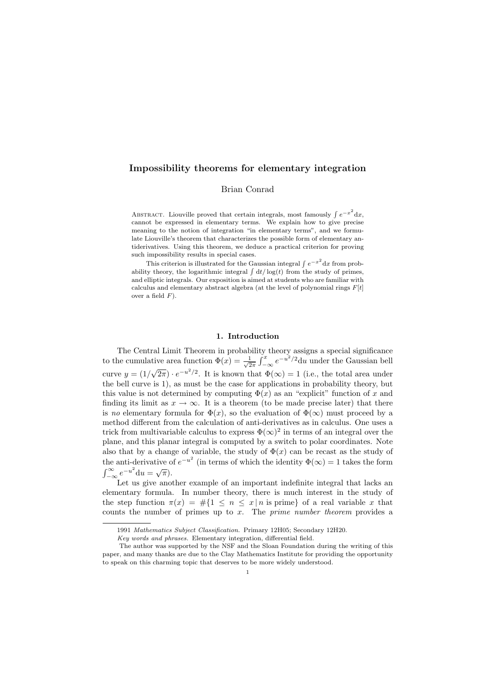# Impossibility theorems for elementary integration

# Brian Conrad

ABSTRACT. Liouville proved that certain integrals, most famously  $\int e^{-x^2} dx$ , cannot be expressed in elementary terms. We explain how to give precise meaning to the notion of integration "in elementary terms", and we formulate Liouville's theorem that characterizes the possible form of elementary antiderivatives. Using this theorem, we deduce a practical criterion for proving such impossibility results in special cases.

This criterion is illustrated for the Gaussian integral  $\int e^{-x^2} dx$  from probability theory, the logarithmic integral  $\int dt/\log(t)$  from the study of primes, and elliptic integrals. Our exposition is aimed at students who are familiar with calculus and elementary abstract algebra (at the level of polynomial rings  $F[t]$ over a field  $F$ ).

### 1. Introduction

The Central Limit Theorem in probability theory assigns a special significance to the cumulative area function  $\Phi(x) = \frac{1}{\sqrt{2}}$ tive area function  $\Phi(x) = \frac{1}{\sqrt{2\pi}} \int_{-\infty}^{x} e^{-u^2/2} du$  under the Gaussian bell curve  $y = (1/\sqrt{2\pi}) \cdot e^{-u^2/2}$ . It is known that  $\Phi(\infty) = 1$  (i.e., the total area under the bell curve is 1), as must be the case for applications in probability theory, but this value is not determined by computing  $\Phi(x)$  as an "explicit" function of x and finding its limit as  $x \to \infty$ . It is a theorem (to be made precise later) that there is no elementary formula for  $\Phi(x)$ , so the evaluation of  $\Phi(\infty)$  must proceed by a method different from the calculation of anti-derivatives as in calculus. One uses a trick from multivariable calculus to express  $\Phi(\infty)^2$  in terms of an integral over the plane, and this planar integral is computed by a switch to polar coordinates. Note also that by a change of variable, the study of  $\Phi(x)$  can be recast as the study of the anti-derivative of  $e^{-u^2}$  (in terms of which the identity  $\Phi(\infty) = 1$  takes the form  $\int_{-\infty}^{\infty} e^{-u^2} \mathrm{d}u = \sqrt{\pi}$ .

Let us give another example of an important indefinite integral that lacks an elementary formula. In number theory, there is much interest in the study of the step function  $\pi(x) = \#\{1 \leq n \leq x \mid n \text{ is prime}\}\$  of a real variable x that counts the number of primes up to  $x$ . The *prime number theorem* provides a

<sup>1991</sup> Mathematics Subject Classification. Primary 12H05; Secondary 12H20.

Key words and phrases. Elementary integration, differential field.

The author was supported by the NSF and the Sloan Foundation during the writing of this paper, and many thanks are due to the Clay Mathematics Institute for providing the opportunity to speak on this charming topic that deserves to be more widely understood.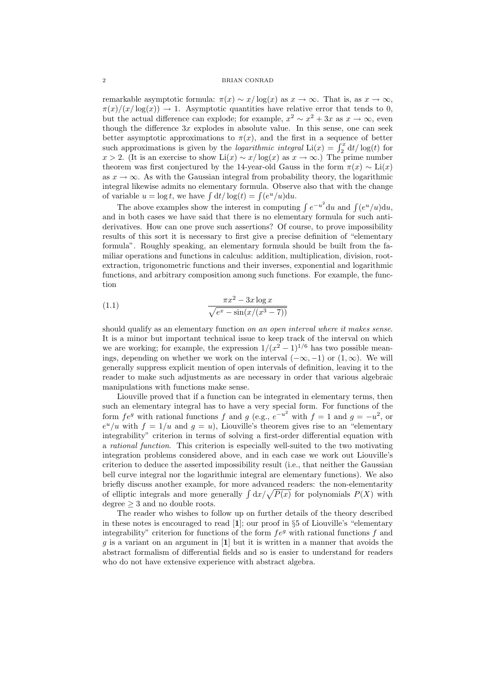#### 2 BRIAN CONRAD

remarkable asymptotic formula:  $\pi(x) \sim x/\log(x)$  as  $x \to \infty$ . That is, as  $x \to \infty$ ,  $\pi(x)/(x/\log(x)) \to 1$ . Asymptotic quantities have relative error that tends to 0, but the actual difference can explode; for example,  $x^2 \sim x^2 + 3x$  as  $x \to \infty$ , even though the difference  $3x$  explodes in absolute value. In this sense, one can seek better asymptotic approximations to  $\pi(x)$ , and the first in a sequence of better such approximations is given by the *logarithmic integral*  $\text{Li}(x) = \int_2^x \frac{dt}{\log(t)}$  for  $x > 2$ . (It is an exercise to show Li(x) ~ x/log(x) as  $x \to \infty$ .) The prime number theorem was first conjectured by the 14-year-old Gauss in the form  $\pi(x) \sim \text{Li}(x)$ as  $x \to \infty$ . As with the Gaussian integral from probability theory, the logarithmic integral likewise admits no elementary formula. Observe also that with the change of variable  $u = \log t$ , we have  $\int dt / \log(t) = \int (e^u / u) du$ .

The above examples show the interest in computing  $\int e^{-u^2} du$  and  $\int (e^u/u) du$ , and in both cases we have said that there is no elementary formula for such antiderivatives. How can one prove such assertions? Of course, to prove impossibility results of this sort it is necessary to first give a precise definition of "elementary formula". Roughly speaking, an elementary formula should be built from the familiar operations and functions in calculus: addition, multiplication, division, rootextraction, trigonometric functions and their inverses, exponential and logarithmic functions, and arbitrary composition among such functions. For example, the function

(1.1) 
$$
\frac{\pi x^2 - 3x \log x}{\sqrt{e^x - \sin(x/(x^3 - 7))}}
$$

should qualify as an elementary function on an open interval where it makes sense. It is a minor but important technical issue to keep track of the interval on which we are working; for example, the expression  $1/(x^2-1)^{1/6}$  has two possible meanings, depending on whether we work on the interval  $(-\infty, -1)$  or  $(1, \infty)$ . We will generally suppress explicit mention of open intervals of definition, leaving it to the reader to make such adjustments as are necessary in order that various algebraic manipulations with functions make sense.

Liouville proved that if a function can be integrated in elementary terms, then such an elementary integral has to have a very special form. For functions of the form  $fe^g$  with rational functions f and g (e.g.,  $e^{-u^2}$  with  $f = 1$  and  $g = -u^2$ , or  $e^u/u$  with  $f = 1/u$  and  $g = u$ ), Liouville's theorem gives rise to an "elementary" integrability" criterion in terms of solving a first-order differential equation with a rational function. This criterion is especially well-suited to the two motivating integration problems considered above, and in each case we work out Liouville's criterion to deduce the asserted impossibility result (i.e., that neither the Gaussian bell curve integral nor the logarithmic integral are elementary functions). We also briefly discuss another example, for more advanced readers: the non-elementarity of elliptic integrals and more generally  $\int dx/\sqrt{P(x)}$  for polynomials  $P(X)$  with  $degree > 3$  and no double roots.

The reader who wishes to follow up on further details of the theory described in these notes is encouraged to read  $[1]$ ; our proof in §5 of Liouville's "elementary" integrability" criterion for functions of the form  $fe^{g}$  with rational functions f and g is a variant on an argument in  $[1]$  but it is written in a manner that avoids the abstract formalism of differential fields and so is easier to understand for readers who do not have extensive experience with abstract algebra.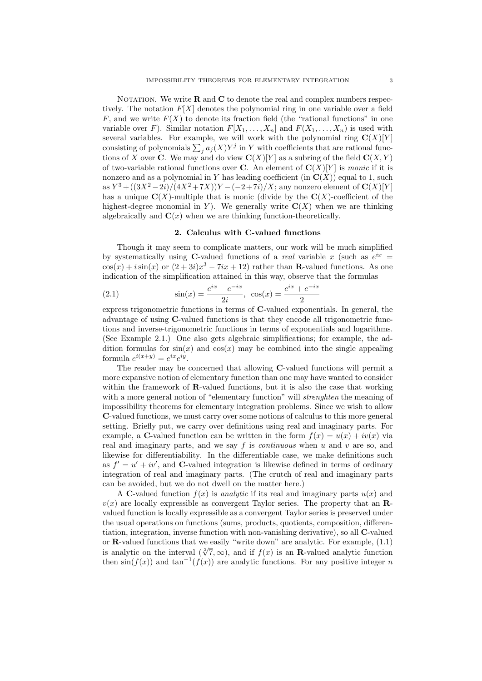NOTATION. We write  **and**  $**C**$  **to denote the real and complex numbers respec**tively. The notation  $F[X]$  denotes the polynomial ring in one variable over a field  $F$ , and we write  $F(X)$  to denote its fraction field (the "rational functions" in one variable over F). Similar notation  $F[X_1, \ldots, X_n]$  and  $F(X_1, \ldots, X_n)$  is used with several variables. For example, we will work with the polynomial ring  $\mathbf{C}(X)[Y]$ consisting of polynomials  $\sum_j a_j(X) Y^j$  in Y with coefficients that are rational functions of X over C. We may and do view  $C(X)[Y]$  as a subring of the field  $C(X, Y)$ of two-variable rational functions over **C**. An element of  $\mathbf{C}(X)[Y]$  is monic if it is nonzero and as a polynomial in Y has leading coefficient (in  $\mathbf{C}(X)$ ) equal to 1, such as  $Y^3 + ((3X^2 - 2i)/(4X^2 + 7X)Y - (-2 + 7i)/X$ ; any nonzero element of  $C(X)[Y]$ has a unique  $\mathbf{C}(X)$ -multiple that is monic (divide by the  $\mathbf{C}(X)$ -coefficient of the highest-degree monomial in Y). We generally write  $\mathbf{C}(X)$  when we are thinking algebraically and  $\mathbf{C}(x)$  when we are thinking function-theoretically.

#### 2. Calculus with C-valued functions

Though it may seem to complicate matters, our work will be much simplified by systematically using C-valued functions of a *real* variable x (such as  $e^{ix}$  =  $\cos(x) + i \sin(x)$  or  $(2+3i)x^3 - 7ix + 12$  rather than **R**-valued functions. As one indication of the simplification attained in this way, observe that the formulas

(2.1) 
$$
\sin(x) = \frac{e^{ix} - e^{-ix}}{2i}, \quad \cos(x) = \frac{e^{ix} + e^{-ix}}{2}
$$

express trigonometric functions in terms of C-valued exponentials. In general, the advantage of using C-valued functions is that they encode all trigonometric functions and inverse-trigonometric functions in terms of exponentials and logarithms. (See Example 2.1.) One also gets algebraic simplifications; for example, the addition formulas for  $sin(x)$  and  $cos(x)$  may be combined into the single appealing formula  $e^{i(x+y)} = e^{ix}e^{iy}$ .

The reader may be concerned that allowing C-valued functions will permit a more expansive notion of elementary function than one may have wanted to consider within the framework of **R**-valued functions, but it is also the case that working with a more general notion of "elementary function" will *strenghten* the meaning of impossibility theorems for elementary integration problems. Since we wish to allow C-valued functions, we must carry over some notions of calculus to this more general setting. Briefly put, we carry over definitions using real and imaginary parts. For example, a C-valued function can be written in the form  $f(x) = u(x) + iv(x)$  via real and imaginary parts, and we say  $f$  is *continuous* when  $u$  and  $v$  are so, and likewise for differentiability. In the differentiable case, we make definitions such as  $f' = u' + iv'$ , and **C**-valued integration is likewise defined in terms of ordinary integration of real and imaginary parts. (The crutch of real and imaginary parts can be avoided, but we do not dwell on the matter here.)

A C-valued function  $f(x)$  is *analytic* if its real and imaginary parts  $u(x)$  and  $v(x)$  are locally expressible as convergent Taylor series. The property that an **R**valued function is locally expressible as a convergent Taylor series is preserved under the usual operations on functions (sums, products, quotients, composition, differentiation, integration, inverse function with non-vanishing derivative), so all C-valued or R-valued functions that we easily "write down" are analytic. For example, (1.1) or **R**-valued functions that we easily "write down" are analytic. For example, (1.1) is analytic on the interval  $(\sqrt[3]{7}, \infty)$ , and if  $f(x)$  is an **R**-valued analytic function then  $\sin(f(x))$  and  $\tan^{-1}(f(x))$  are analytic functions. For any positive integer n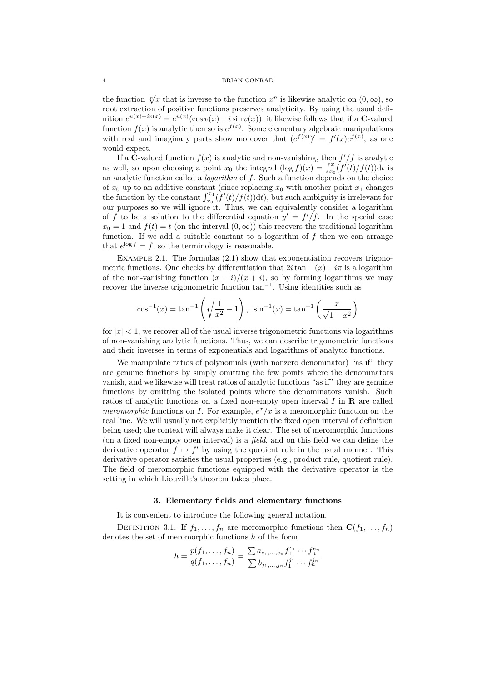the function  $\sqrt[n]{x}$  that is inverse to the function  $x^n$  is likewise analytic on  $(0, \infty)$ , so root extraction of positive functions preserves analyticity. By using the usual definition  $e^{u(x)+iv(x)} = e^{u(x)}(\cos v(x) + i \sin v(x))$ , it likewise follows that if a **C**-valued function  $f(x)$  is analytic then so is  $e^{f(x)}$ . Some elementary algebraic manipulations with real and imaginary parts show moreover that  $(e^{f(x)})' = f'(x)e^{f(x)}$ , as one would expect.

If a **C**-valued function  $f(x)$  is analytic and non-vanishing, then  $f'/f$  is analytic as well, so upon choosing a point  $x_0$  the integral  $(\log f)(x) = \int_{x_0}^x (f'(t)/f(t)) dt$  is an analytic function called a *logarithm* of  $f$ . Such a function depends on the choice of  $x_0$  up to an additive constant (since replacing  $x_0$  with another point  $x_1$  changes the function by the constant  $\int_{x_0}^{x_1} (f'(t)/f(t)) dt$ , but such ambiguity is irrelevant for our purposes so we will ignore it. Thus, we can equivalently consider a logarithm of f to be a solution to the differential equation  $y' = f'/f$ . In the special case  $x_0 = 1$  and  $f(t) = t$  (on the interval  $(0, \infty)$ ) this recovers the traditional logarithm function. If we add a suitable constant to a logarithm of  $f$  then we can arrange that  $e^{\log f} = f$ , so the terminology is reasonable.

EXAMPLE 2.1. The formulas  $(2.1)$  show that exponentiation recovers trigonometric functions. One checks by differentiation that  $2i \tan^{-1}(x) + i\pi$  is a logarithm of the non-vanishing function  $(x - i)/(x + i)$ , so by forming logarithms we may recover the inverse trigonometric function tan<sup>−</sup><sup>1</sup> . Using identities such as

$$
\cos^{-1}(x) = \tan^{-1}\left(\sqrt{\frac{1}{x^2} - 1}\right), \quad \sin^{-1}(x) = \tan^{-1}\left(\frac{x}{\sqrt{1 - x^2}}\right)
$$

for  $|x| < 1$ , we recover all of the usual inverse trigonometric functions via logarithms of non-vanishing analytic functions. Thus, we can describe trigonometric functions and their inverses in terms of exponentials and logarithms of analytic functions.

We manipulate ratios of polynomials (with nonzero denominator) "as if" they are genuine functions by simply omitting the few points where the denominators vanish, and we likewise will treat ratios of analytic functions "as if" they are genuine functions by omitting the isolated points where the denominators vanish. Such ratios of analytic functions on a fixed non-empty open interval  $I$  in  $\bf{R}$  are called meromorphic functions on I. For example,  $e^x/x$  is a meromorphic function on the real line. We will usually not explicitly mention the fixed open interval of definition being used; the context will always make it clear. The set of meromorphic functions (on a fixed non-empty open interval) is a *field*, and on this field we can define the derivative operator  $f \mapsto f'$  by using the quotient rule in the usual manner. This derivative operator satisfies the usual properties (e.g., product rule, quotient rule). The field of meromorphic functions equipped with the derivative operator is the setting in which Liouville's theorem takes place.

### 3. Elementary fields and elementary functions

It is convenient to introduce the following general notation.

DEFINITION 3.1. If  $f_1, \ldots, f_n$  are meromorphic functions then  $\mathbf{C}(f_1, \ldots, f_n)$ denotes the set of meromorphic functions  $h$  of the form

$$
h = \frac{p(f_1, \ldots, f_n)}{q(f_1, \ldots, f_n)} = \frac{\sum a_{e_1, \ldots, e_n} f_1^{e_1} \cdots f_n^{e_n}}{\sum b_{j_1, \ldots, j_n} f_1^{j_1} \cdots f_n^{j_n}}
$$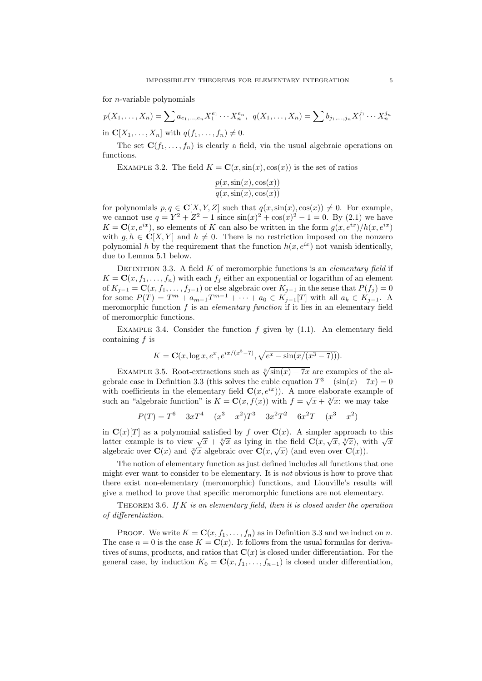for n-variable polynomials

$$
p(X_1, \ldots, X_n) = \sum a_{e_1, \ldots, e_n} X_1^{e_1} \cdots X_n^{e_n}, \quad q(X_1, \ldots, X_n) = \sum b_{j_1, \ldots, j_n} X_1^{j_1} \cdots X_n^{j_n}
$$

in  $\mathbf{C}[X_1,\ldots,X_n]$  with  $q(f_1,\ldots,f_n)\neq 0$ .

The set  $\mathbf{C}(f_1,\ldots,f_n)$  is clearly a field, via the usual algebraic operations on functions.

EXAMPLE 3.2. The field  $K = \mathbf{C}(x, \sin(x), \cos(x))$  is the set of ratios

$$
\frac{p(x,\sin(x),\cos(x))}{q(x,\sin(x),\cos(x))}
$$

for polynomials  $p, q \in \mathbb{C}[X, Y, Z]$  such that  $q(x, \sin(x), \cos(x)) \neq 0$ . For example, we cannot use  $q = Y^2 + Z^2 - 1$  since  $\sin(x)^2 + \cos(x)^2 - 1 = 0$ . By (2.1) we have  $K = \mathbf{C}(x, e^{ix})$ , so elements of K can also be written in the form  $g(x, e^{ix})/h(x, e^{ix})$ with  $g, h \in \mathbb{C}[X, Y]$  and  $h \neq 0$ . There is no restriction imposed on the nonzero polynomial h by the requirement that the function  $h(x, e^{ix})$  not vanish identically, due to Lemma 5.1 below.

DEFINITION 3.3. A field  $K$  of meromorphic functions is an *elementary field* if  $K = \mathbf{C}(x, f_1, \ldots, f_n)$  with each  $f_i$  either an exponential or logarithm of an element of  $K_{j-1} = \mathbf{C}(x, f_1, \ldots, f_{j-1})$  or else algebraic over  $K_{j-1}$  in the sense that  $P(f_j) = 0$ for some  $P(T) = T^m + a_{m-1}T^{m-1} + \cdots + a_0 \in K_{j-1}[T]$  with all  $a_k \in K_{j-1}$ . A meromorphic function  $f$  is an *elementary function* if it lies in an elementary field of meromorphic functions.

EXAMPLE 3.4. Consider the function  $f$  given by  $(1.1)$ . An elementary field containing  $f$  is

$$
K = \mathbf{C}(x, \log x, e^x, e^{ix/(x^3-7)}, \sqrt{e^x - \sin(x/(x^3-7))}).
$$

EXAMPLE 3.5. Root-extractions such as  $\sqrt[3]{\sin(x) - 7x}$  are examples of the algebraic case in Definition 3.3 (this solves the cubic equation  $T^3 - (\sin(x) - 7x) = 0$ with coefficients in the elementary field  $\mathbf{C}(x, e^{ix})$ ). A more elaborate example of with coefficients in the elementary field  $\mathbf{C}(x, e^{ix})$ . A more elaborate example of such an "algebraic function" is  $K = \mathbf{C}(x, f(x))$  with  $f = \sqrt{x} + \sqrt[3]{x}$ : we may take

$$
P(T) = T6 - 3xT4 - (x3 - x2)T3 - 3x2T2 - 6x2T - (x3 - x2)
$$

in  $\mathbf{C}(x)[T]$  as a polynomial satisfied by f over  $\mathbf{C}(x)$ . A simpler approach to this in  $\mathbf{C}(x)[T]$  as a polynomial satisfied by f over  $\mathbf{C}(x)$ . A simpler approach to this latter example is to view  $\sqrt{x} + \sqrt[3]{x}$  as lying in the field  $\mathbf{C}(x, \sqrt{x}, \sqrt[3]{x})$ , with  $\sqrt{x}$ latter example is to view  $\sqrt{x} + \sqrt{x}$  as lying in the field  $\mathbf{C}(x, \sqrt{x}, \sqrt{x})$ , we algebraic over  $\mathbf{C}(x)$  and  $\sqrt[3]{x}$  algebraic over  $\mathbf{C}(x, \sqrt{x})$  (and even over  $\mathbf{C}(x)$ ).

The notion of elementary function as just defined includes all functions that one might ever want to consider to be elementary. It is not obvious is how to prove that there exist non-elementary (meromorphic) functions, and Liouville's results will give a method to prove that specific meromorphic functions are not elementary.

THEOREM 3.6. If K is an elementary field, then it is closed under the operation of differentiation.

PROOF. We write  $K = \mathbf{C}(x, f_1, \ldots, f_n)$  as in Definition 3.3 and we induct on n. The case  $n = 0$  is the case  $K = \mathbf{C}(x)$ . It follows from the usual formulas for derivatives of sums, products, and ratios that  $\mathbf{C}(x)$  is closed under differentiation. For the general case, by induction  $K_0 = \mathbf{C}(x, f_1, \ldots, f_{n-1})$  is closed under differentiation,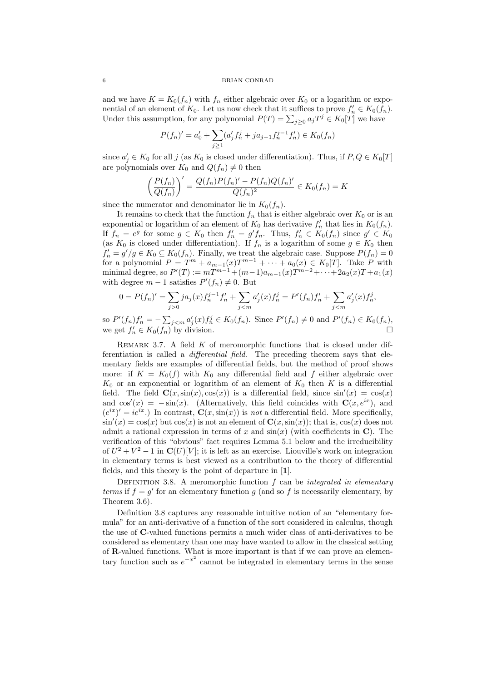### 6 BRIAN CONRAD

and we have  $K = K_0(f_n)$  with  $f_n$  either algebraic over  $K_0$  or a logarithm or exponential of an element of  $K_0$ . Let us now check that it suffices to prove  $f'_n \in K_0(f_n)$ . Under this assumption, for any polynomial  $P(T) = \sum_{j\geq 0} a_j T^j \in K_0[T]$  we have

$$
P(f_n)' = a'_0 + \sum_{j \ge 1} (a'_j f_n^j + j a_{j-1} f_n^{j-1} f_n') \in K_0(f_n)
$$

since  $a'_j \in K_0$  for all j (as  $K_0$  is closed under differentiation). Thus, if  $P, Q \in K_0[T]$ are polynomials over  $K_0$  and  $Q(f_n) \neq 0$  then

$$
\left(\frac{P(f_n)}{Q(f_n)}\right)' = \frac{Q(f_n)P(f_n)' - P(f_n)Q(f_n)'}{Q(f_n)^2} \in K_0(f_n) = K
$$

since the numerator and denominator lie in  $K_0(f_n)$ .

It remains to check that the function  $f_n$  that is either algebraic over  $K_0$  or is an exponential or logarithm of an element of  $K_0$  has derivative  $f'_n$  that lies in  $K_0(f_n)$ . If  $f_n = e^g$  for some  $g \in K_0$  then  $f'_n = g' f_n$ . Thus,  $f'_n \in K_0(f_n)$  since  $g' \in K_0$ (as  $K_0$  is closed under differentiation). If  $f_n$  is a logarithm of some  $g \in K_0$  then  $f'_n = g'/g \in K_0 \subseteq K_0(f_n)$ . Finally, we treat the algebraic case. Suppose  $P(f_n) = 0$ for a polynomial  $P = T^m + a_{m-1}(x)T^{m-1} + \cdots + a_0(x) \in K_0[T]$ . Take P with minimal degree, so  $P'(T) := mT^{m-1} + (m-1)a_{m-1}(x)T^{m-2} + \cdots + 2a_2(x)T + a_1(x)$ with degree  $m-1$  satisfies  $P'(f_n) \neq 0$ . But

$$
0 = P(f_n)' = \sum_{j>0} j a_j(x) f_n^{j-1} f_n' + \sum_{j
$$

so  $P'(f_n)f'_n = -\sum_{j \le m} a'_j(x)f_n^j \in K_0(f_n)$ . Since  $P'(f_n) \ne 0$  and  $P'(f_n) \in K_0(f_n)$ , we get  $f'_n \in K_0(f_n)$  by division.

REMARK 3.7. A field  $K$  of meromorphic functions that is closed under differentiation is called a *differential field*. The preceding theorem says that elementary fields are examples of differential fields, but the method of proof shows more: if  $K = K_0(f)$  with  $K_0$  any differential field and f either algebraic over  $K_0$  or an exponential or logarithm of an element of  $K_0$  then K is a differential field. The field  $\mathbf{C}(x,\sin(x),\cos(x))$  is a differential field, since  $\sin'(x) = \cos(x)$ and  $\cos'(x) = -\sin(x)$ . (Alternatively, this field coincides with  $\mathbf{C}(x, e^{ix})$ , and  $(e^{ix})' = ie^{ix}$ .) In contrast,  $\mathbf{C}(x, \sin(x))$  is not a differential field. More specifically,  $\sin'(x) = \cos(x)$  but  $\cos(x)$  is not an element of  $\mathbf{C}(x,\sin(x))$ ; that is,  $\cos(x)$  does not admit a rational expression in terms of x and  $sin(x)$  (with coefficients in C). The verification of this "obvious" fact requires Lemma 5.1 below and the irreducibility of  $U^2 + V^2 - 1$  in  $\mathbf{C}(U)[V]$ ; it is left as an exercise. Liouville's work on integration in elementary terms is best viewed as a contribution to the theory of differential fields, and this theory is the point of departure in [1].

DEFINITION 3.8. A meromorphic function  $f$  can be integrated in elementary terms if  $f = g'$  for an elementary function g (and so f is necessarily elementary, by Theorem 3.6).

Definition 3.8 captures any reasonable intuitive notion of an "elementary formula" for an anti-derivative of a function of the sort considered in calculus, though the use of C-valued functions permits a much wider class of anti-derivatives to be considered as elementary than one may have wanted to allow in the classical setting of R-valued functions. What is more important is that if we can prove an elementary function such as  $e^{-x^2}$  cannot be integrated in elementary terms in the sense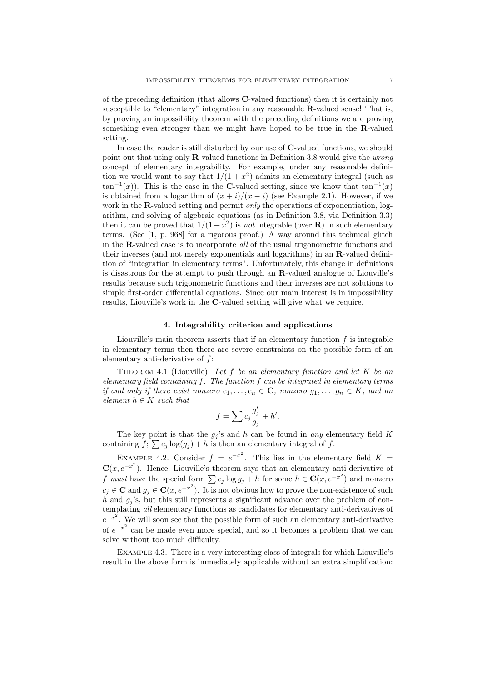of the preceding definition (that allows C-valued functions) then it is certainly not susceptible to "elementary" integration in any reasonable R-valued sense! That is, by proving an impossibility theorem with the preceding definitions we are proving something even stronger than we might have hoped to be true in the R-valued setting.

In case the reader is still disturbed by our use of C-valued functions, we should point out that using only R-valued functions in Definition 3.8 would give the wrong concept of elementary integrability. For example, under any reasonable definition we would want to say that  $1/(1+x^2)$  admits an elementary integral (such as  $\tan^{-1}(x)$ ). This is the case in the **C**-valued setting, since we know that  $\tan^{-1}(x)$ is obtained from a logarithm of  $(x + i)/(x - i)$  (see Example 2.1). However, if we work in the **R**-valued setting and permit *only* the operations of exponentiation, logarithm, and solving of algebraic equations (as in Definition 3.8, via Definition 3.3) then it can be proved that  $1/(1+x^2)$  is *not* integrable (over **R**) in such elementary terms. (See [1, p. 968] for a rigorous proof.) A way around this technical glitch in the R-valued case is to incorporate all of the usual trigonometric functions and their inverses (and not merely exponentials and logarithms) in an R-valued definition of "integration in elementary terms". Unfortunately, this change in definitions is disastrous for the attempt to push through an R-valued analogue of Liouville's results because such trigonometric functions and their inverses are not solutions to simple first-order differential equations. Since our main interest is in impossibility results, Liouville's work in the C-valued setting will give what we require.

### 4. Integrability criterion and applications

Liouville's main theorem asserts that if an elementary function  $f$  is integrable in elementary terms then there are severe constraints on the possible form of an elementary anti-derivative of f:

THEOREM 4.1 (Liouville). Let  $f$  be an elementary function and let  $K$  be an elementary field containing  $f$ . The function  $f$  can be integrated in elementary terms if and only if there exist nonzero  $c_1, \ldots, c_n \in \mathbb{C}$ , nonzero  $g_1, \ldots, g_n \in K$ , and an element  $h \in K$  such that

$$
f = \sum c_j \frac{g'_j}{g_j} + h'.
$$

The key point is that the  $g_j$ 's and h can be found in any elementary field K containing  $f$ ;  $\sum c_j \log(g_j) + h$  is then an elementary integral of f.

EXAMPLE 4.2. Consider  $f = e^{-x^2}$ . This lies in the elementary field  $K =$  $\mathbf{C}(x, e^{-x^2})$ . Hence, Liouville's theorem says that an elementary anti-derivative of f must have the special form  $\sum c_j \log g_j + h$  for some  $h \in \mathbf{C}(x, e^{-x^2})$  and nonzero  $c_j \in \mathbf{C}$  and  $g_j \in \mathbf{C}(x, e^{-x^2})$ . It is not obvious how to prove the non-existence of such h and  $g_i$ 's, but this still represents a significant advance over the problem of contemplating all elementary functions as candidates for elementary anti-derivatives of  $e^{-x^2}$ . We will soon see that the possible form of such an elementary anti-derivative of  $e^{-x^2}$  can be made even more special, and so it becomes a problem that we can solve without too much difficulty.

Example 4.3. There is a very interesting class of integrals for which Liouville's result in the above form is immediately applicable without an extra simplification: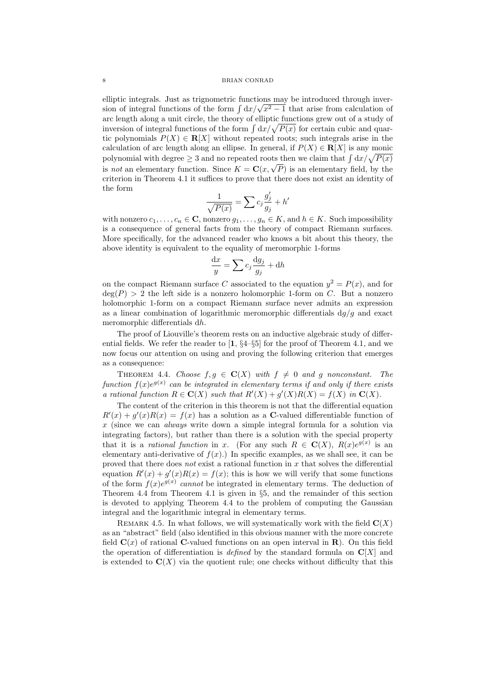### 8 BRIAN CONRAD

elliptic integrals. Just as trignometric functions may be introduced through inverelliptic integrals. Just as trignometric functions may be introduced through inversion of integral functions of the form  $\int dx/\sqrt{x^2-1}$  that arise from calculation of arc length along a unit circle, the theory of elliptic functions grew out of a study of inversion of integral functions of the form  $\int dx/\sqrt{P(x)}$  for certain cubic and quartic polynomials  $P(X) \in \mathbb{R}[X]$  without repeated roots; such integrals arise in the calculation of arc length along an ellipse. In general, if  $P(X) \in \mathbf{R}[X]$  is any monic polynomial with degree  $\geq 3$  and no repeated roots then we claim that  $\int dx/\sqrt{P(x)}$ polynomial with degree  $\geq 3$  and no repeated roots then we claim that  $\int dx/\sqrt{P(x)}$ <br>is not an elementary function. Since  $K = \mathbf{C}(x, \sqrt{P})$  is an elementary field, by the criterion in Theorem 4.1 it suffices to prove that there does not exist an identity of the form  $\overline{\phantom{0}}$ 

$$
\frac{1}{\sqrt{P(x)}} = \sum c_j \frac{g'_j}{g_j} + h'
$$

with nonzero  $c_1, \ldots, c_n \in \mathbb{C}$ , nonzero  $g_1, \ldots, g_n \in K$ , and  $h \in K$ . Such impossibility is a consequence of general facts from the theory of compact Riemann surfaces. More specifically, for the advanced reader who knows a bit about this theory, the above identity is equivalent to the equality of meromorphic 1-forms

$$
\frac{\mathrm{d}x}{y} = \sum c_j \frac{\mathrm{d}g_j}{g_j} + \mathrm{d}h
$$

on the compact Riemann surface C associated to the equation  $y^2 = P(x)$ , and for  $deg(P) > 2$  the left side is a nonzero holomorphic 1-form on C. But a nonzero holomorphic 1-form on a compact Riemann surface never admits an expression as a linear combination of logarithmic meromorphic differentials  $\frac{dg}{g}$  and exact meromorphic differentials dh.

The proof of Liouville's theorem rests on an inductive algebraic study of differential fields. We refer the reader to  $\left[1, \frac{64}{65}\right]$  for the proof of Theorem 4.1, and we now focus our attention on using and proving the following criterion that emerges as a consequence:

THEOREM 4.4. Choose  $f, g \in \mathbf{C}(X)$  with  $f \neq 0$  and g nonconstant. The function  $f(x)e^{g(x)}$  can be integrated in elementary terms if and only if there exists a rational function  $R \in \mathbf{C}(X)$  such that  $R'(X) + g'(X)R(X) = f(X)$  in  $\mathbf{C}(X)$ .

The content of the criterion in this theorem is not that the differential equation  $R'(x) + g'(x)R(x) = f(x)$  has a solution as a **C**-valued differentiable function of  $x$  (since we can *always* write down a simple integral formula for a solution via integrating factors), but rather than there is a solution with the special property that it is a rational function in x. (For any such  $R \in \mathbf{C}(X)$ ,  $R(x)e^{g(x)}$  is an elementary anti-derivative of  $f(x)$ .) In specific examples, as we shall see, it can be proved that there does *not* exist a rational function in  $x$  that solves the differential equation  $R'(x) + g'(x)R(x) = f(x)$ ; this is how we will verify that some functions of the form  $f(x)e^{g(x)}$  cannot be integrated in elementary terms. The deduction of Theorem 4.4 from Theorem 4.1 is given in §5, and the remainder of this section is devoted to applying Theorem 4.4 to the problem of computing the Gaussian integral and the logarithmic integral in elementary terms.

REMARK 4.5. In what follows, we will systematically work with the field  $\mathbf{C}(X)$ as an "abstract" field (also identified in this obvious manner with the more concrete field  $\mathbf{C}(x)$  of rational **C**-valued functions on an open interval in **R**). On this field the operation of differentiation is *defined* by the standard formula on  $\mathbb{C}[X]$  and is extended to  $\mathbf{C}(X)$  via the quotient rule; one checks without difficulty that this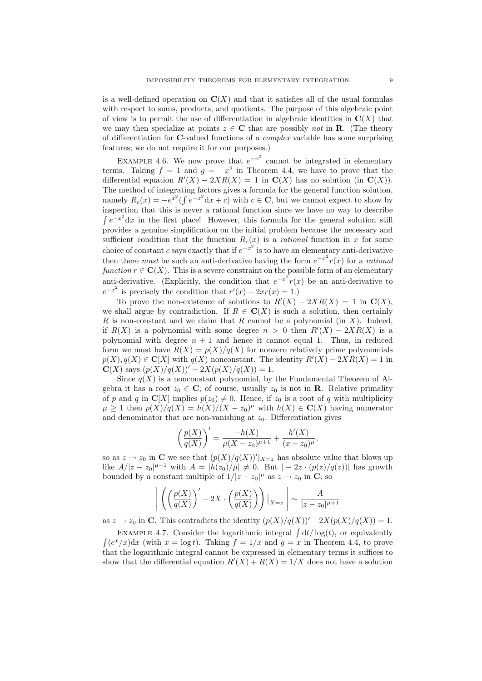is a well-defined operation on  $\mathbf{C}(X)$  and that it satisfies all of the usual formulas with respect to sums, products, and quotients. The purpose of this algebraic point of view is to permit the use of differentiation in algebraic identities in  $\mathbf{C}(X)$  that we may then specialize at points  $z \in \mathbb{C}$  that are possibly not in **R**. (The theory of differentiation for C-valued functions of a complex variable has some surprising features; we do not require it for our purposes.)

EXAMPLE 4.6. We now prove that  $e^{-x^2}$  cannot be integrated in elementary terms. Taking  $f = 1$  and  $g = -x^2$  in Theorem 4.4, we have to prove that the differential equation  $R'(X) - 2XR(X) = 1$  in  $\mathbf{C}(X)$  has no solution (in  $\mathbf{C}(X)$ ). The method of integrating factors gives a formula for the general function solution, namely  $R_c(x) = -e^{x^2} (\int e^{-x^2} dx + c)$  with  $c \in \mathbb{C}$ , but we cannot expect to show by inspection that this is never a rational function since we have no way to describe  $\int e^{-x^2} dx$  in the first place! However, this formula for the general solution still provides a genuine simplification on the initial problem because the necessary and sufficient condition that the function  $R_c(x)$  is a *rational* function in x for some choice of constant c says exactly that if  $e^{-x^2}$  is to have an elementary anti-derivative then there *must* be such an anti-derivative having the form  $e^{-x^2}r(x)$  for a *rational* function  $r \in \mathbf{C}(X)$ . This is a severe constraint on the possible form of an elementary anti-derivative. (Explicitly, the condition that  $e^{-x^2}r(x)$  be an anti-derivative to  $e^{-x^2}$  is precisely the condition that  $r'(x) - 2xr(x) = 1$ .

To prove the non-existence of solutions to  $R'(X) - 2XR(X) = 1$  in  $\mathbf{C}(X)$ , we shall argue by contradiction. If  $R \in \mathbf{C}(X)$  is such a solution, then certainly R is non-constant and we claim that R cannot be a polynomial (in X). Indeed, if  $R(X)$  is a polynomial with some degree  $n > 0$  then  $R'(X) - 2XR(X)$  is a polynomial with degree  $n + 1$  and hence it cannot equal 1. Thus, in reduced form we must have  $R(X) = p(X)/q(X)$  for nonzero relatively prime polymomials  $p(X), q(X) \in \mathbf{C}[X]$  with  $q(X)$  nonconstant. The identity  $R'(X) - 2XR(X) = 1$  in  $C(X)$  says  $(p(X)/q(X))' - 2X(p(X)/q(X)) = 1.$ 

Since  $q(X)$  is a nonconstant polynomial, by the Fundamental Theorem of Algebra it has a root  $z_0 \in \mathbb{C}$ ; of course, usually  $z_0$  is not in **R**. Relative primality of p and q in  $\mathbb{C}[X]$  implies  $p(z_0) \neq 0$ . Hence, if  $z_0$  is a root of q with multiplicity  $\mu \geq 1$  then  $p(X)/q(X) = h(X)/(X - z_0)^{\mu}$  with  $h(X) \in \mathbf{C}(X)$  having numerator and denominator that are non-vanishing at  $z_0$ . Differentiation gives

$$
\left(\frac{p(X)}{q(X)}\right)' = \frac{-h(X)}{\mu(X - z_0)^{\mu+1}} + \frac{h'(X)}{(x - z_0)^{\mu}},
$$

so as  $z \to z_0$  in C we see that  $(p(X)/q(X))'|_{X=z}$  has absolute value that blows up like  $A/|z-z_0|^{\mu+1}$  with  $A=|h(z_0)/\mu|\neq 0$ . But  $|-2z\cdot(p(z)/q(z))|$  has growth bounded by a constant multiple of  $1/|z-z_0|^{\mu}$  as  $z \to z_0$  in **C**, so

$$
\Bigg|\, \left(\left(\frac{p(X)}{q(X)}\right)'-2X\cdot\left(\frac{p(X)}{q(X)}\right)\right)\Big|_{X=z}\ \Bigg|\sim \frac{A}{|z-z_0|^{\mu+1}}
$$

as  $z \to z_0$  in C. This contradicts the identity  $(p(X)/q(X))' - 2X(p(X)/q(X)) = 1$ .

EXAMPLE 4.7. Consider the logarithmic integral  $\int dt/\log(t)$ , or equivalently  $\int (e^x/x)dx$  (with  $x = \log t$ ). Taking  $f = 1/x$  and  $g = x$  in Theorem 4.4, to prove that the logarithmic integral cannot be expressed in elementary terms it suffices to show that the differential equation  $R'(X) + R(X) = 1/X$  does not have a solution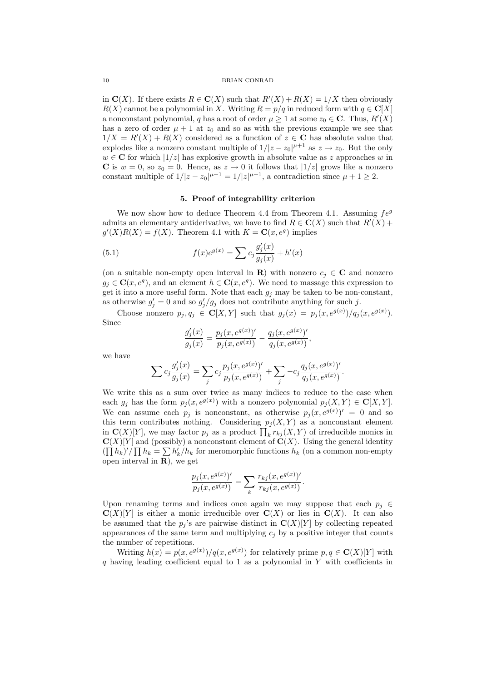in  $\mathbf{C}(X)$ . If there exists  $R \in \mathbf{C}(X)$  such that  $R'(X) + R(X) = 1/X$  then obviously  $R(X)$  cannot be a polynomial in X. Writing  $R = p/q$  in reduced form with  $q \in \mathbb{C}[X]$ a nonconstant polynomial, q has a root of order  $\mu \geq 1$  at some  $z_0 \in \mathbb{C}$ . Thus,  $R'(X)$ has a zero of order  $\mu + 1$  at  $z_0$  and so as with the previous example we see that  $1/X = R'(X) + R(X)$  considered as a function of  $z \in \mathbb{C}$  has absolute value that explodes like a nonzero constant multiple of  $1/|z-z_0|^{\mu+1}$  as  $z \to z_0$ . But the only  $w \in \mathbb{C}$  for which  $|1/z|$  has explosive growth in absolute value as z approaches w in C is  $w = 0$ , so  $z_0 = 0$ . Hence, as  $z \to 0$  it follows that  $|1/z|$  grows like a nonzero constant multiple of  $1/|z-z_0|^{\mu+1} = 1/|z|^{\mu+1}$ , a contradiction since  $\mu + 1 \geq 2$ .

## 5. Proof of integrability criterion

We now show how to deduce Theorem 4.4 from Theorem 4.1. Assuming  $fe^{g}$ admits an elementary antiderivative, we have to find  $R \in \mathbf{C}(X)$  such that  $R'(\overline{X}) +$  $g'(X)R(X) = f(X)$ . Theorem 4.1 with  $K = \mathbf{C}(x, e^g)$  implies

(5.1) 
$$
f(x)e^{g(x)} = \sum c_j \frac{g'_j(x)}{g_j(x)} + h'(x)
$$

(on a suitable non-empty open interval in **R**) with nonzero  $c_i \in \mathbb{C}$  and nonzero  $g_j \in \mathbf{C}(x, e^g)$ , and an element  $h \in \mathbf{C}(x, e^g)$ . We need to massage this expression to get it into a more useful form. Note that each  $g_j$  may be taken to be non-constant, as otherwise  $g'_j = 0$  and so  $g'_j/g_j$  does not contribute anything for such j.

Choose nonzero  $p_j, q_j \in \mathbf{C}[X, Y]$  such that  $g_j(x) = p_j(x, e^{g(x)})/q_j(x, e^{g(x)})$ . Since

$$
\frac{g_j'(x)}{g_j(x)} = \frac{p_j(x, e^{g(x)})'}{p_j(x, e^{g(x)})} - \frac{q_j(x, e^{g(x)})'}{q_j(x, e^{g(x)})},
$$

we have

$$
\sum c_j \frac{g'_j(x)}{g_j(x)} = \sum_j c_j \frac{p_j(x, e^{g(x)})'}{p_j(x, e^{g(x)})} + \sum_j -c_j \frac{q_j(x, e^{g(x)})'}{q_j(x, e^{g(x)})}.
$$

We write this as a sum over twice as many indices to reduce to the case when each  $g_j$  has the form  $p_j(x, e^{g(x)})$  with a nonzero polynomial  $p_j(X, Y) \in \mathbb{C}[X, Y]$ . We can assume each  $p_j$  is nonconstant, as otherwise  $p_j(x, e^{g(x)})' = 0$  and so this term contributes nothing. Considering  $p_j(X, Y)$  as a nonconstant element in  $\mathbf{C}(X)[Y]$ , we may factor  $p_j$  as a product  $\prod_k r_{kj}(X, Y)$  of irreducible monics in  $\mathbf{C}(X)[Y]$  and (possibly) a nonconstant element of  $\mathbf{C}(X)$ . Using the general identity  $(\prod h_k)' / \prod h_k = \sum h'_k / h_k$  for meromorphic functions  $h_k$  (on a common non-empty open interval in **), we get** 

$$
\frac{p_j(x, e^{g(x)})'}{p_j(x, e^{g(x)})} = \sum_k \frac{r_{kj}(x, e^{g(x)})'}{r_{kj}(x, e^{g(x)})}.
$$

Upon renaming terms and indices once again we may suppose that each  $p_i \in$  $\mathbf{C}(X)[Y]$  is either a monic irreducible over  $\mathbf{C}(X)$  or lies in  $\mathbf{C}(X)$ . It can also be assumed that the  $p_i$ 's are pairwise distinct in  $\mathbf{C}(X)[Y]$  by collecting repeated appearances of the same term and multiplying  $c_j$  by a positive integer that counts the number of repetitions.

Writing  $h(x) = p(x, e^{g(x)})/q(x, e^{g(x)})$  for relatively prime  $p, q \in \mathbb{C}(X)[Y]$  with  $q$  having leading coefficient equal to 1 as a polynomial in Y with coefficients in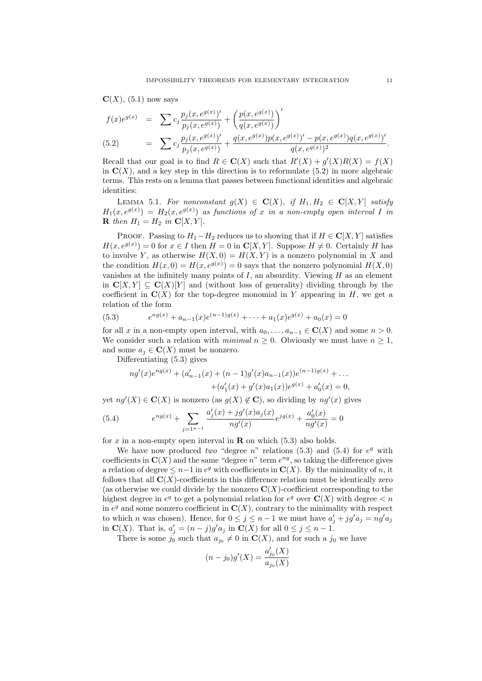$\mathbf{C}(X)$ , (5.1) now says

$$
f(x)e^{g(x)} = \sum c_j \frac{p_j(x, e^{g(x)})'}{p_j(x, e^{g(x)})} + \left(\frac{p(x, e^{g(x)})}{q(x, e^{g(x)})}\right)'
$$
  
(5.2) 
$$
= \sum c_j \frac{p_j(x, e^{g(x)})'}{p_j(x, e^{g(x)})} + \frac{q(x, e^{g(x)})p(x, e^{g(x)})' - p(x, e^{g(x)})q(x, e^{g(x)})'}{q(x, e^{g(x)})^2}.
$$

Recall that our goal is to find  $R \in \mathbf{C}(X)$  such that  $R'(X) + g'(X)R(X) = f(X)$ in  $\mathbf{C}(X)$ , and a key step in this direction is to reformulate (5.2) in more algebraic terms. This rests on a lemma that passes between functional identities and algebraic identities:

LEMMA 5.1. For nonconstant  $g(X) \in \mathbf{C}(X)$ , if  $H_1, H_2 \in \mathbf{C}[X, Y]$  satisfy  $H_1(x,e^{g(x)}) = H_2(x,e^{g(x)})$  as functions of x in a non-empty open interval I in **R** then  $H_1 = H_2$  in  $\mathbf{C}[X, Y]$ .

PROOF. Passing to  $H_1 - H_2$  reduces us to showing that if  $H \in \mathbb{C}[X, Y]$  satisfies  $H(x, e^{g(x)}) = 0$  for  $x \in I$  then  $H = 0$  in  $\mathbb{C}[X, Y]$ . Suppose  $H \neq 0$ . Certainly H has to involve Y, as otherwise  $H(X, 0) = H(X, Y)$  is a nonzero polynomial in X and the condition  $H(x, 0) = H(x, e^{g(x)}) = 0$  says that the nonzero polynomial  $H(X, 0)$ vanishes at the infinitely many points of  $I$ , an absurdity. Viewing  $H$  as an element in  $C[X, Y] \subset C(X)[Y]$  and (without loss of generality) dividing through by the coefficient in  $\mathbf{C}(X)$  for the top-degree monomial in Y appearing in H, we get a relation of the form

(5.3) 
$$
e^{ng(x)} + a_{n-1}(x)e^{(n-1)g(x)} + \cdots + a_1(x)e^{g(x)} + a_0(x) = 0
$$

for all x in a non-empty open interval, with  $a_0, \ldots, a_{n-1} \in \mathbf{C}(X)$  and some  $n > 0$ . We consider such a relation with *minimal*  $n \geq 0$ . Obviously we must have  $n \geq 1$ , and some  $a_j \in \mathbf{C}(X)$  must be nonzero.

Differentiating (5.3) gives

$$
ng'(x)e^{ng(x)} + (a'_{n-1}(x) + (n-1)g'(x)a_{n-1}(x))e^{(n-1)g(x)} + \dots + (a'_{1}(x) + g'(x)a_{1}(x))e^{g(x)} + a'_{0}(x) = 0,
$$

yet  $ng'(X) \in \mathbf{C}(X)$  is nonzero (as  $g(X) \notin \mathbf{C}$ ), so dividing by  $ng'(x)$  gives

(5.4) 
$$
e^{ng(x)} + \sum_{j=1^{n-1}} \frac{a'_j(x) + jg'(x)a_j(x)}{ng'(x)} e^{jg(x)} + \frac{a'_0(x)}{ng'(x)} = 0
$$

for x in a non-empty open interval in  $\bf{R}$  on which (5.3) also holds.

We have now produced two "degree n" relations  $(5.3)$  and  $(5.4)$  for  $e^g$  with coefficients in  $\mathbf{C}(X)$  and the same "degree n" term  $e^{ng}$ , so taking the difference gives a relation of degree  $\leq n-1$  in  $e^g$  with coefficients in  $\mathbf{C}(X)$ . By the minimality of n, it follows that all  $\mathbf{C}(X)$ -coefficients in this difference relation must be identically zero (as otherwise we could divide by the nonzero  $\mathbf{C}(X)$ -coefficient corresponding to the highest degree in  $e^g$  to get a polynomial relation for  $e^g$  over  $\mathbf{C}(X)$  with degree  $\lt n$ in  $e^g$  and some nonzero coefficient in  $\mathbf{C}(X)$ , contrary to the minimality with respect to which *n* was chosen). Hence, for  $0 \leq j \leq n-1$  we must have  $a'_j + j g' a_j = n g' a_j$ in  $\mathbf{C}(X)$ . That is,  $a'_{j} = (n-j)g'a_{j}$  in  $\mathbf{C}(X)$  for all  $0 \leq j \leq n-1$ .

There is some  $j_0$  such that  $a_{j_0} \neq 0$  in  $\mathbf{C}(X)$ , and for such a  $j_0$  we have

$$
(n - j_0)g'(X) = \frac{a'_{j_0}(X)}{a_{j_0}(X)}
$$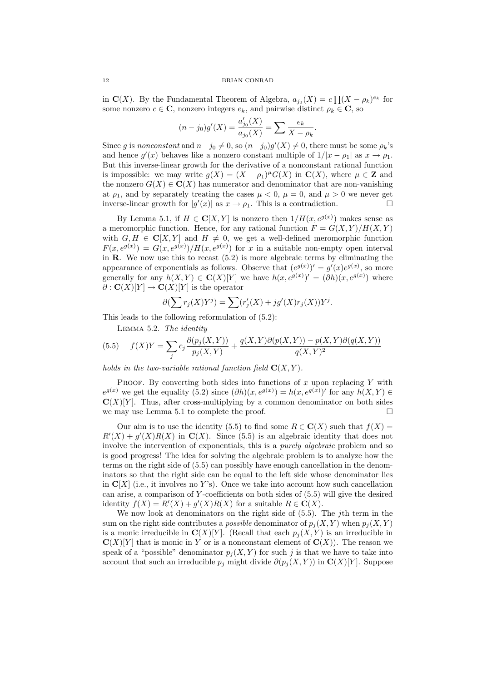in  $\mathbf{C}(X)$ . By the Fundamental Theorem of Algebra,  $a_{j_0}(X) = c \prod (X - \rho_k)^{e_k}$  for some nonzero  $c \in \mathbf{C}$ , nonzero integers  $e_k$ , and pairwise distinct  $\rho_k \in \mathbf{C}$ , so

$$
(n - j_0)g'(X) = \frac{a'_{j_0}(X)}{a_{j_0}(X)} = \sum \frac{e_k}{X - \rho_k}.
$$

Since g is nonconstant and  $n - j_0 \neq 0$ , so  $(n - j_0)g'(X) \neq 0$ , there must be some  $\rho_k$ 's and hence  $g'(x)$  behaves like a nonzero constant multiple of  $1/|x - \rho_1|$  as  $x \to \rho_1$ . But this inverse-linear growth for the derivative of a nonconstant rational function is impossible: we may write  $g(X) = (X - \rho_1)^{\mu} G(X)$  in  $\mathbf{C}(X)$ , where  $\mu \in \mathbf{Z}$  and the nonzero  $G(X) \in \mathbf{C}(X)$  has numerator and denominator that are non-vanishing at  $\rho_1$ , and by separately treating the cases  $\mu < 0$ ,  $\mu = 0$ , and  $\mu > 0$  we never get inverse-linear growth for  $|g'(x)|$  as  $x \to \rho_1$ . This is a contradiction.

By Lemma 5.1, if  $H \in \mathbb{C}[X, Y]$  is nonzero then  $1/H(x, e^{g(x)})$  makes sense as a meromorphic function. Hence, for any rational function  $F = G(X, Y)/H(X, Y)$ with  $G, H \in \mathbb{C}[X, Y]$  and  $H \neq 0$ , we get a well-defined meromorphic function  $F(x, e^{g(x)}) = G(x, e^{g(x)})/H(x, e^{g(x)})$  for x in a suitable non-empty open interval in  $\mathbf R$ . We now use this to recast  $(5.2)$  is more algebraic terms by eliminating the appearance of exponentials as follows. Observe that  $(e^{g(x)})' = g'(x)e^{g(x)}$ , so more generally for any  $h(X,Y) \in \mathbf{C}(X)[Y]$  we have  $h(x, e^{g(x)})' = (\partial h)(x, e^{g(x)})$  where  $\partial$  :  $\mathbf{C}(X)[Y] \to \mathbf{C}(X)[Y]$  is the operator

$$
\partial(\sum r_j(X)Y^j) = \sum (r'_j(X) + jg'(X)r_j(X))Y^j.
$$

This leads to the following reformulation of (5.2):

Lemma 5.2. The identity

(5.5) 
$$
f(X)Y = \sum_{j} c_j \frac{\partial(p_j(X, Y))}{p_j(X, Y)} + \frac{q(X, Y)\partial(p(X, Y)) - p(X, Y)\partial(q(X, Y))}{q(X, Y)^2}
$$

holds in the two-variable rational function field  $\mathbf{C}(X, Y)$ .

PROOF. By converting both sides into functions of x upon replacing Y with  $e^{g(x)}$  we get the equality (5.2) since  $(\partial h)(x, e^{g(x)}) = h(x, e^{g(x)})'$  for any  $h(X, Y) \in$  $C(X)[Y]$ . Thus, after cross-multiplying by a common denominator on both sides we may use Lemma 5.1 to complete the proof.

Our aim is to use the identity (5.5) to find some  $R \in \mathbb{C}(X)$  such that  $f(X) =$  $R'(X) + g'(X)R(X)$  in  $\mathbf{C}(X)$ . Since (5.5) is an algebraic identity that does not involve the intervention of exponentials, this is a purely algebraic problem and so is good progress! The idea for solving the algebraic problem is to analyze how the terms on the right side of (5.5) can possibly have enough cancellation in the denominators so that the right side can be equal to the left side whose denominator lies in  $\mathbb{C}[X]$  (i.e., it involves no Y's). Once we take into account how such cancellation can arise, a comparison of Y -coefficients on both sides of (5.5) will give the desired identity  $f(X) = R'(X) + g'(X)R(X)$  for a suitable  $R \in \mathbf{C}(X)$ .

We now look at denominators on the right side of  $(5.5)$ . The jth term in the sum on the right side contributes a *possible* denominator of  $p_i(X, Y)$  when  $p_i(X, Y)$ is a monic irreducible in  $\mathbf{C}(X)[Y]$ . (Recall that each  $p_i(X, Y)$  is an irreducible in  $\mathbf{C}(X)[Y]$  that is monic in Y or is a nonconstant element of  $\mathbf{C}(X)$ ). The reason we speak of a "possible" denominator  $p_i(X, Y)$  for such j is that we have to take into account that such an irreducible  $p_j$  might divide  $\partial(p_j(X, Y))$  in  $\mathbf{C}(X)[Y]$ . Suppose